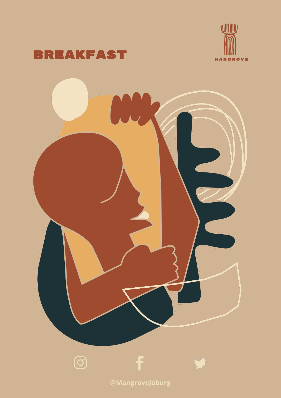



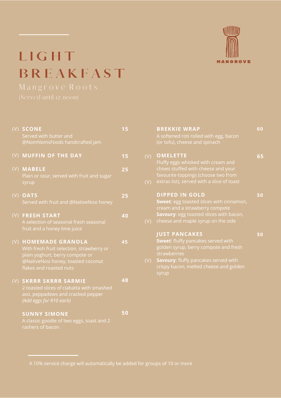

## **L I G H T B R E A K F A S T**

| (V) SCONE<br>Served with butter and<br>@NomNomsFoods handcrafted jam                                                                                                  |    |
|-----------------------------------------------------------------------------------------------------------------------------------------------------------------------|----|
| (V) MUFFIN OF THE DAY                                                                                                                                                 | 15 |
| (V) MABELE<br>Plain or sour, served with fruit and sugar<br>syrup                                                                                                     | 25 |
| (V) OATS<br>Served with fruit and @NativeNosi honey                                                                                                                   | 25 |
| (V) FRESH START<br>A selection of seasonal fresh seasonal<br>fruit and a honey lime juice                                                                             | 40 |
| (V) HOMEMADE GRANOLA<br>With fresh fruit selection, strawberry or<br>plain yoghurt, berry compote or<br>@NativeNosi honey, toasted coconut<br>flakes and roasted nuts | 45 |
| (V) SKRRR SKRRR SARMIE<br>2 toasted slices of ciabatta with smashed<br>avo, peppadews and cracked pepper<br>(Add eggs for R10 each)                                   | 48 |
| <b>SUNNY SIMONE</b><br>A classic goodie of two eggs, toast and 2<br>rashers of bacon                                                                                  | 50 |
|                                                                                                                                                                       |    |

|     | <b>BREKKIE WRAP</b>                             | 60 |
|-----|-------------------------------------------------|----|
|     | A softened roti rolled with egg, bacon          |    |
|     | (or tofu), cheese and spinach                   |    |
|     |                                                 |    |
| (V) | <b>OMELETTE</b>                                 | 65 |
|     | Fluffy eggs whisked with cream and              |    |
|     | chives stuffed with cheese and your             |    |
|     | favourite toppings (choose two from             |    |
| (V) | extras list), served with a slice of toast      |    |
|     |                                                 |    |
|     | <b>DIPPED IN GOLD</b>                           | 50 |
|     | <b>Sweet:</b> egg toasted slices with cinnamon, |    |
|     | cream and a strawberry compote                  |    |
|     | Savoury: egg toasted slices with bacon,         |    |
| (V) | cheese and maple syrup on the side              |    |
|     |                                                 |    |
|     | <b>JUST PANCAKES</b>                            | 50 |
|     | <b>Sweet:</b> fluffy pancakes served with       |    |
|     | golden syrup, berry compote and fresh           |    |
|     | strawberries                                    |    |
| (V) | <b>Savoury:</b> fluffy pancakes served with     |    |
|     | crispy bacon, melted cheese and golden          |    |
|     | syrup                                           |    |
|     |                                                 |    |
|     |                                                 |    |
|     |                                                 |    |

A 10% service charge will automatically be added for groups of 10 or more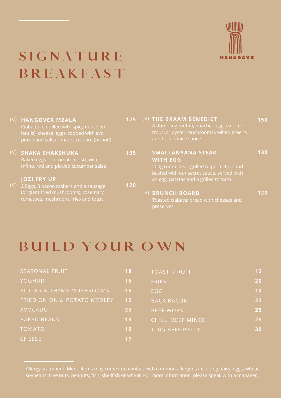

## **S I G N A T U R E B R E A K F A S T**

| (V) HANGOVER MZALA<br>Ciabatta loaf filled with spicy mince (or<br>lentils), cheese, eggs, topped with avo<br>puree and salsa - made to share (or not!) | 125                                   | (V) THE BRAAM BENEDICT<br>A dumpling muffin, poached egg, smoked<br>trout (or oyster mushrooms), wilted greens,<br>and hollandaise sauce | 150 |
|---------------------------------------------------------------------------------------------------------------------------------------------------------|---------------------------------------|------------------------------------------------------------------------------------------------------------------------------------------|-----|
| <b>SHAKA SHAKSHUKA</b><br>Baked eggs in a tomato relish, wilted<br>mfino, roti and pickled cucumber salsa                                               | 105                                   | SMALLANYANA STEAK<br><b>WITH EGG</b><br>200g rump steak grilled to perfection and<br>basted with our secret sauce, served with           | 130 |
| <b>JOZI FRY UP</b>                                                                                                                                      |                                       | an egg, patatas and a grilled tomato                                                                                                     |     |
| (or giant fried mushrooms), rosemary<br>tomatoes, mushroom, fries and toast                                                                             |                                       | (V) BRUNCH BOARD<br>Toasted ciabatta bread with cheeses and                                                                              | 120 |
|                                                                                                                                                         | 2 Eggs, 3 bacon rashers and a sausage | 120                                                                                                                                      |     |

## **BUILD YOUR OWN**

| <b>SEASONAL FRUIT</b>               | 18              | TOAST / ROTI             | 12 |
|-------------------------------------|-----------------|--------------------------|----|
| <b>YOGHURT</b>                      | 16              | <b>FRIES</b>             | 20 |
| <b>BUTTER &amp; THYME MUSHROOMS</b> | 15 <sub>1</sub> | EGG                      | 10 |
| FRIED ONION & POTATO MEDLEY         | 157             | <b>BACK BACON</b>        | 22 |
| <b>AVOCADO</b>                      | 23              | <b>BEEF WORS</b>         | 25 |
| <b>BAKED BEANS</b>                  | 13              | <b>CHILLI BEEF MINCE</b> | 25 |
| <b>TOMATO</b>                       | 10              | 100G BEEF PATTY          | 30 |
| <b>CHEESE</b>                       | 17              |                          |    |

Allergy statement: Menu items may come into contact with common allergens including dairy, eggs, wheat, soybeans, tree nuts, peanuts, fish, shellfish or wheat. For more information, please speak with a manager.